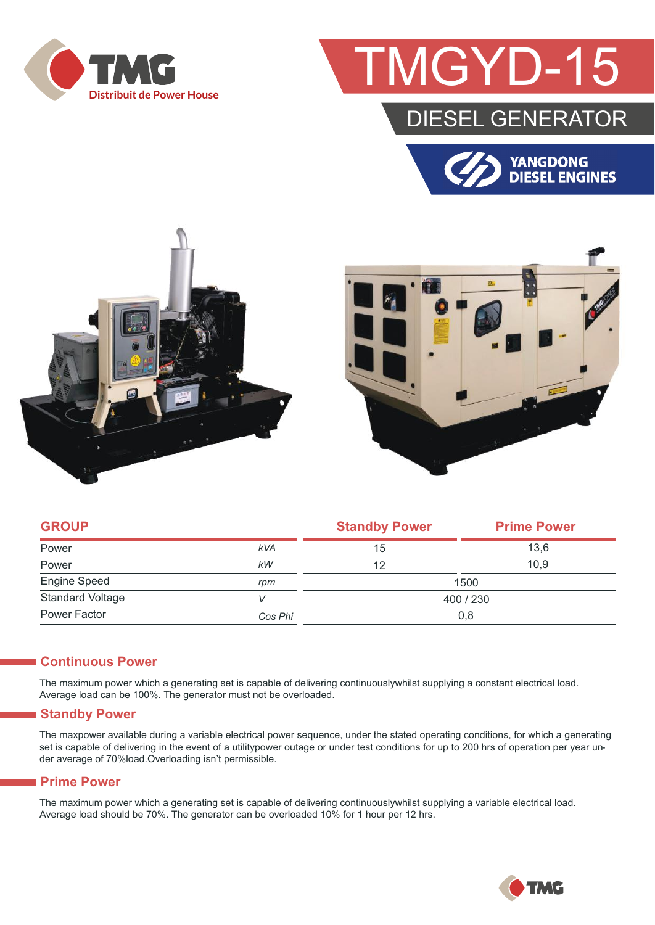

# GYD-1

### DIESEL GENERATOR







| <b>GROUP</b>            |            | <b>Standby Power</b> | <b>Prime Power</b> |  |
|-------------------------|------------|----------------------|--------------------|--|
| Power                   | <b>kVA</b> | 15                   | 13.6               |  |
| Power                   | kW         | 12                   | 10.9               |  |
| <b>Engine Speed</b>     | rpm        | 1500                 |                    |  |
| <b>Standard Voltage</b> |            | 400 / 230            |                    |  |
| Power Factor            | Cos Phi    | 0,8                  |                    |  |

#### **Continuous Power**

The maximum power which a generating set is capable of delivering continuouslywhilst supplying a constant electrical load. Average load can be 100%. The generator must not be overloaded.

#### **Standby Power**

The maxpower available during a variable electrical power sequence, under the stated operating conditions, for which a generating set is capable of delivering in the event of a utilitypower outage or under test conditions for up to 200 hrs of operation per year under average of 70%load.Overloading isn't permissible.

#### **Prime Power**

The maximum power which a generating set is capable of delivering continuouslywhilst supplying a variable electrical load. Average load should be 70%. The generator can be overloaded 10% for 1 hour per 12 hrs.

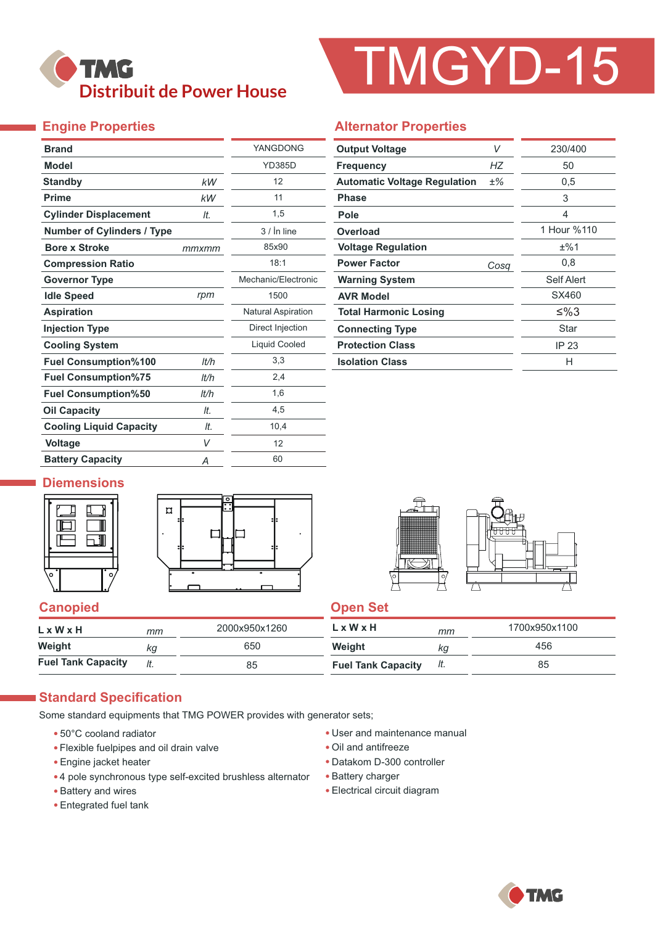

# TMGYD-15

#### **Engine Properties**

Ť,

| <b>Brand</b>                      |       | YANGDONG                  |  |  |
|-----------------------------------|-------|---------------------------|--|--|
| <b>Model</b>                      |       | <b>YD385D</b>             |  |  |
| <b>Standby</b>                    | kW    | 12                        |  |  |
| <b>Prime</b>                      | kW    | 11                        |  |  |
| <b>Cylinder Displacement</b>      | It.   | 1,5                       |  |  |
| <b>Number of Cylinders / Type</b> |       | $3/$ in line              |  |  |
| <b>Bore x Stroke</b>              | mmxmm | 85x90                     |  |  |
| <b>Compression Ratio</b>          |       | 18:1                      |  |  |
| <b>Governor Type</b>              |       | Mechanic/Electronic       |  |  |
| <b>Idle Speed</b>                 | rpm   | 1500                      |  |  |
| <b>Aspiration</b>                 |       | <b>Natural Aspiration</b> |  |  |
| <b>Injection Type</b>             |       | Direct Injection          |  |  |
| <b>Cooling System</b>             |       | Liquid Cooled             |  |  |
| <b>Fuel Consumption%100</b>       | It/h  | 3,3                       |  |  |
| <b>Fuel Consumption%75</b>        | It/h  | 2,4                       |  |  |
| <b>Fuel Consumption%50</b>        | It/h  | 1,6                       |  |  |
| <b>Oil Capacity</b>               | It.   | 4,5                       |  |  |
| <b>Cooling Liquid Capacity</b>    | It.   | 10,4                      |  |  |
| <b>Voltage</b>                    | V     | 12                        |  |  |
| <b>Battery Capacity</b>           | Α     | 60                        |  |  |

#### **Alternator Properties**

| V<br><b>Output Voltage</b>                   |      | 230/400     |  |  |
|----------------------------------------------|------|-------------|--|--|
| <b>Frequency</b>                             | НZ   | 50          |  |  |
| <b>Automatic Voltage Regulation</b><br>$±\%$ |      | 0,5         |  |  |
| <b>Phase</b>                                 |      | 3           |  |  |
| Pole                                         |      | 4           |  |  |
| Overload                                     |      | 1 Hour %110 |  |  |
| <b>Voltage Regulation</b>                    |      | ±%1         |  |  |
| <b>Power Factor</b>                          | Cosq | 0,8         |  |  |
| <b>Warning System</b>                        |      | Self Alert  |  |  |
| <b>AVR Model</b>                             |      | SX460       |  |  |
| <b>Total Harmonic Losing</b>                 |      | ≤%3         |  |  |
| <b>Connecting Type</b>                       |      | Star        |  |  |
| <b>Protection Class</b>                      |      | IP 23       |  |  |
| <b>Isolation Class</b>                       |      | н           |  |  |

#### **Diemensions**







#### **Canopied Canopied Canopied Canopied Canopied** Canopied Canopied Canopied Canopied Canopied Canopied Canopied Canopied Canopied Canopied Canopied Canopied Canopied Canopied Canopied Canopied Canopied Canopied Canopied Cano

| LxWxH                     | mm | 2000x950x1260 | L x W x H                 | mm  | 1700x950x1100 |
|---------------------------|----|---------------|---------------------------|-----|---------------|
| Weight                    | kg | 650           | Weight                    | ΚG  | 456           |
| <b>Fuel Tank Capacity</b> |    | 85            | <b>Fuel Tank Capacity</b> | It. | 85            |

#### **Standard Specification**

Some standard equipments that TMG POWER provides with generator sets;

- 50°C cooland radiator
- Flexible fuelpipes and oil drain valve
- Engine jacket heater
- 4 pole synchronous type self-excited brushless alternator
- Battery and wires
- Entegrated fuel tank
- User and maintenance manual
- Oil and antifreeze
- Datakom D-300 controller
- Battery charger
- Electrical circuit diagram